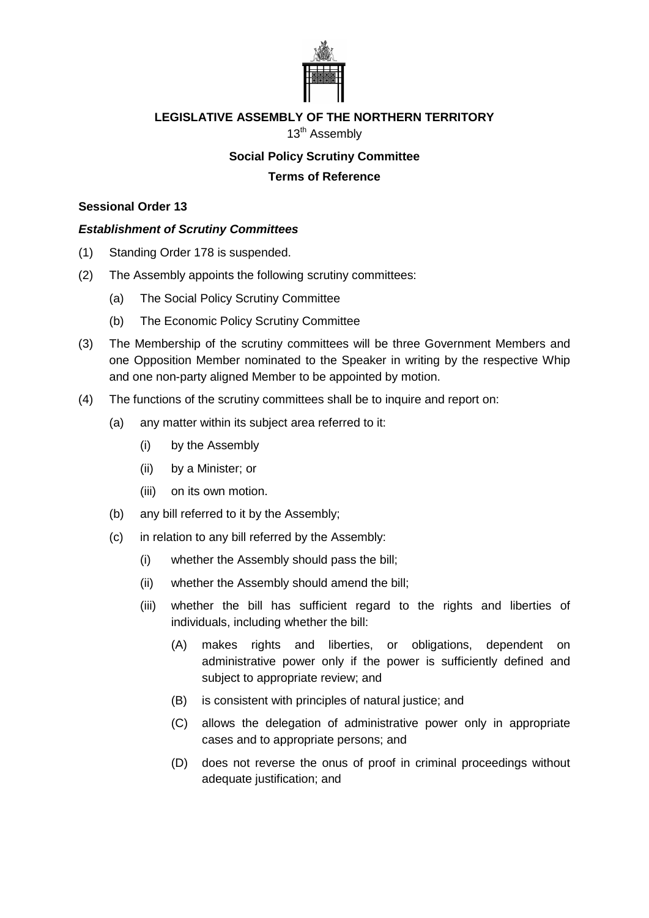

## **LEGISLATIVE ASSEMBLY OF THE NORTHERN TERRITORY**

13<sup>th</sup> Assembly

## **Social Policy Scrutiny Committee Terms of Reference**

## **Sessional Order 13**

## *Establishment of Scrutiny Committees*

- (1) Standing Order 178 is suspended.
- (2) The Assembly appoints the following scrutiny committees:
	- (a) The Social Policy Scrutiny Committee
	- (b) The Economic Policy Scrutiny Committee
- (3) The Membership of the scrutiny committees will be three Government Members and one Opposition Member nominated to the Speaker in writing by the respective Whip and one non-party aligned Member to be appointed by motion.
- (4) The functions of the scrutiny committees shall be to inquire and report on:
	- (a) any matter within its subject area referred to it:
		- (i) by the Assembly
		- (ii) by a Minister; or
		- (iii) on its own motion.
	- (b) any bill referred to it by the Assembly;
	- (c) in relation to any bill referred by the Assembly:
		- (i) whether the Assembly should pass the bill;
		- (ii) whether the Assembly should amend the bill;
		- (iii) whether the bill has sufficient regard to the rights and liberties of individuals, including whether the bill:
			- (A) makes rights and liberties, or obligations, dependent on administrative power only if the power is sufficiently defined and subject to appropriate review; and
			- (B) is consistent with principles of natural justice; and
			- (C) allows the delegation of administrative power only in appropriate cases and to appropriate persons; and
			- (D) does not reverse the onus of proof in criminal proceedings without adequate justification; and